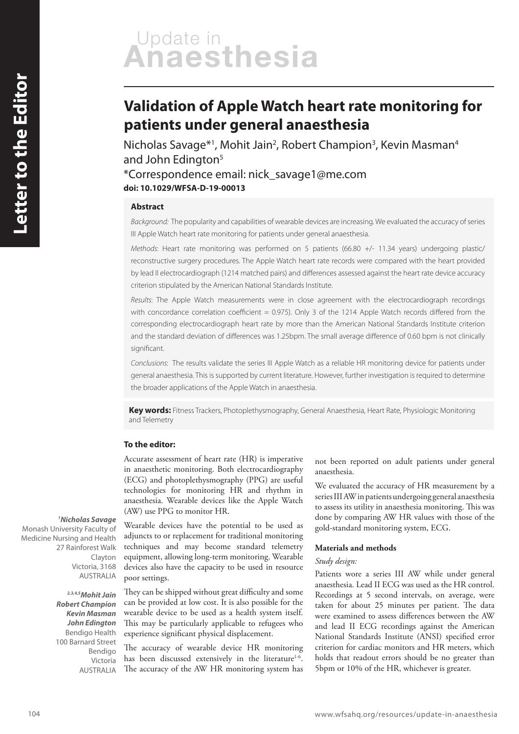# Update in<br>Anaesthesia

# **Validation of Apple Watch heart rate monitoring for patients under general anaesthesia**

Nicholas Savage\*<sup>1</sup>, Mohit Jain<sup>2</sup>, Robert Champion<sup>3</sup>, Kevin Masman<sup>4</sup> and John Edington<sup>5</sup>

\*Correspondence email: nick\_savage1@me.com **doi: 10.1029/WFSA-D-19-00013**

# **Abstract**

*Background:* The popularity and capabilities of wearable devices are increasing. We evaluated the accuracy of series III Apple Watch heart rate monitoring for patients under general anaesthesia.

*Methods*: Heart rate monitoring was performed on 5 patients (66.80 +/- 11.34 years) undergoing plastic/ reconstructive surgery procedures. The Apple Watch heart rate records were compared with the heart provided by lead II electrocardiograph (1214 matched pairs) and differences assessed against the heart rate device accuracy criterion stipulated by the American National Standards Institute.

*Results*: The Apple Watch measurements were in close agreement with the electrocardiograph recordings with concordance correlation coefficient = 0.975). Only 3 of the 1214 Apple Watch records differed from the corresponding electrocardiograph heart rate by more than the American National Standards Institute criterion and the standard deviation of differences was 1.25bpm. The small average difference of 0.60 bpm is not clinically significant.

*Conclusions*: The results validate the series III Apple Watch as a reliable HR monitoring device for patients under general anaesthesia. This is supported by current literature. However, further investigation is required to determine the broader applications of the Apple Watch in anaesthesia.

**Key words:** Fitness Trackers, Photoplethysmography, General Anaesthesia, Heart Rate, Physiologic Monitoring and Telemetry

#### **To the editor:**

Accurate assessment of heart rate (HR) is imperative in anaesthetic monitoring. Both electrocardiography (ECG) and photoplethysmography (PPG) are useful technologies for monitoring HR and rhythm in anaesthesia. Wearable devices like the Apple Watch (AW) use PPG to monitor HR.

**<sup>1</sup>Nicholas Savage** Monash University Faculty of Medicine Nursing and Health 27 Rainforest Walk Clayton Victoria, 3168 AUSTRALIA

> **2,3,4,5Mohit Jain Robert Champion Kevin Masman John Edington**  Bendigo Health 100 Barnard Street Bendigo Victoria AUSTRALIA

Wearable devices have the potential to be used as adjuncts to or replacement for traditional monitoring techniques and may become standard telemetry equipment, allowing long-term monitoring. Wearable devices also have the capacity to be used in resource poor settings.

They can be shipped without great difficulty and some can be provided at low cost. It is also possible for the wearable device to be used as a health system itself. This may be particularly applicable to refugees who experience significant physical displacement.

The accuracy of wearable device HR monitoring has been discussed extensively in the literature<sup>1-6</sup>. The accuracy of the AW HR monitoring system has

not been reported on adult patients under general anaesthesia.

We evaluated the accuracy of HR measurement by a series III AW in patients undergoing general anaesthesia to assess its utility in anaesthesia monitoring. This was done by comparing AW HR values with those of the gold-standard monitoring system, ECG.

#### **Materials and methods**

## *Study design:*

Patients wore a series III AW while under general anaesthesia. Lead II ECG was used as the HR control. Recordings at 5 second intervals, on average, were taken for about 25 minutes per patient. The data were examined to assess differences between the AW and lead II ECG recordings against the American National Standards Institute (ANSI) specified error criterion for cardiac monitors and HR meters, which holds that readout errors should be no greater than 5bpm or 10% of the HR, whichever is greater.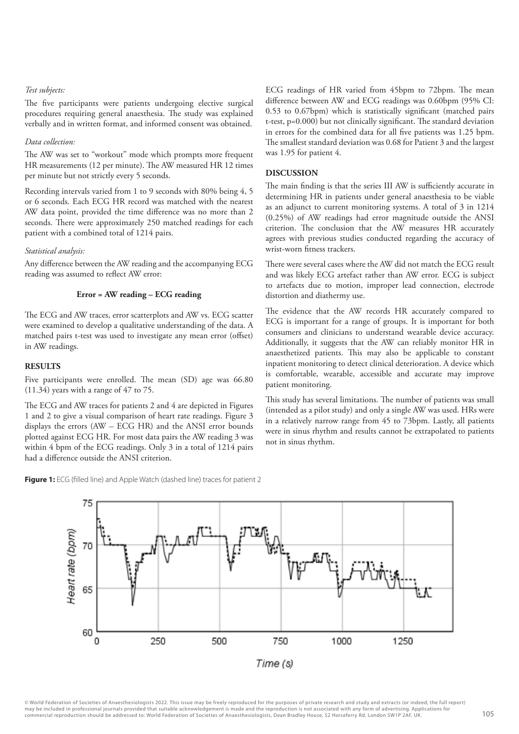#### *Test subjects:*

The five participants were patients undergoing elective surgical procedures requiring general anaesthesia. The study was explained verbally and in written format, and informed consent was obtained.

#### *Data collection:*

The AW was set to "workout" mode which prompts more frequent HR measurements (12 per minute). The AW measured HR 12 times per minute but not strictly every 5 seconds.

Recording intervals varied from 1 to 9 seconds with 80% being 4, 5 or 6 seconds. Each ECG HR record was matched with the nearest AW data point, provided the time difference was no more than 2 seconds. There were approximately 250 matched readings for each patient with a combined total of 1214 pairs.

#### *Statistical analysis:*

Any difference between the AW reading and the accompanying ECG reading was assumed to reflect AW error:

# **Error = AW reading – ECG reading**

The ECG and AW traces, error scatterplots and AW vs. ECG scatter were examined to develop a qualitative understanding of the data. A matched pairs t-test was used to investigate any mean error (offset) in AW readings.

#### **RESULTS**

Five participants were enrolled. The mean (SD) age was 66.80 (11.34) years with a range of 47 to 75.

The ECG and AW traces for patients 2 and 4 are depicted in Figures 1 and 2 to give a visual comparison of heart rate readings. Figure 3 displays the errors (AW – ECG HR) and the ANSI error bounds plotted against ECG HR. For most data pairs the AW reading 3 was within 4 bpm of the ECG readings. Only 3 in a total of 1214 pairs had a difference outside the ANSI criterion.

ECG readings of HR varied from 45bpm to 72bpm. The mean difference between AW and ECG readings was 0.60bpm (95% CI: 0.53 to 0.67bpm) which is statistically significant (matched pairs t-test, p=0.000) but not clinically significant. The standard deviation in errors for the combined data for all five patients was 1.25 bpm. The smallest standard deviation was 0.68 for Patient 3 and the largest was 1.95 for patient 4.

### **DISCUSSION**

The main finding is that the series III AW is sufficiently accurate in determining HR in patients under general anaesthesia to be viable as an adjunct to current monitoring systems. A total of 3 in 1214 (0.25%) of AW readings had error magnitude outside the ANSI criterion. The conclusion that the AW measures HR accurately agrees with previous studies conducted regarding the accuracy of wrist-worn fitness trackers.

There were several cases where the AW did not match the ECG result and was likely ECG artefact rather than AW error. ECG is subject to artefacts due to motion, improper lead connection, electrode distortion and diathermy use.

The evidence that the AW records HR accurately compared to ECG is important for a range of groups. It is important for both consumers and clinicians to understand wearable device accuracy. Additionally, it suggests that the AW can reliably monitor HR in anaesthetized patients. This may also be applicable to constant inpatient monitoring to detect clinical deterioration. A device which is comfortable, wearable, accessible and accurate may improve patient monitoring.

This study has several limitations. The number of patients was small (intended as a pilot study) and only a single AW was used. HRs were in a relatively narrow range from 45 to 73bpm. Lastly, all patients were in sinus rhythm and results cannot be extrapolated to patients not in sinus rhythm.



**Figure 1:** ECG (filled line) and Apple Watch (dashed line) traces for patient 2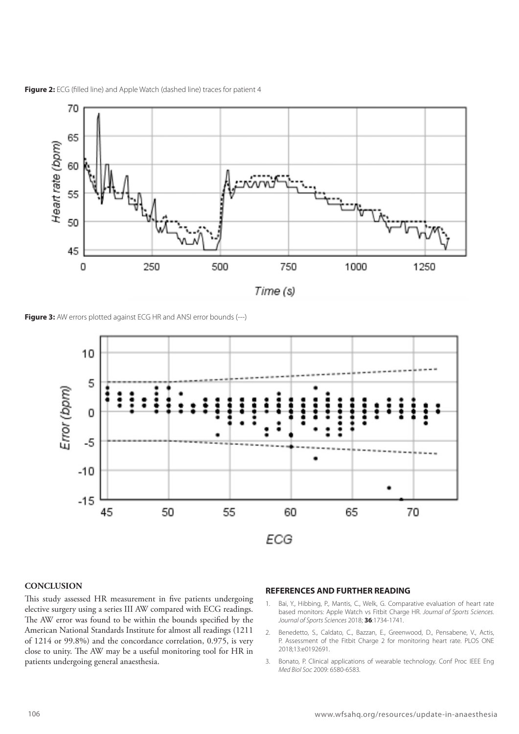

Figure 2: ECG (filled line) and Apple Watch (dashed line) traces for patient 4





# **CONCLUSION**

This study assessed HR measurement in five patients undergoing elective surgery using a series III AW compared with ECG readings. The AW error was found to be within the bounds specified by the American National Standards Institute for almost all readings (1211 of 1214 or 99.8%) and the concordance correlation, 0.975, is very close to unity. The AW may be a useful monitoring tool for HR in patients undergoing general anaesthesia.

#### **REFERENCES AND FURTHER READING**

- 1. Bai, Y., Hibbing, P., Mantis, C., Welk, G. Comparative evaluation of heart rate based monitors: Apple Watch vs Fitbit Charge HR. *Journal of Sports Sciences. Journal of Sports Sciences* 2018; **36**:1734-1741.
- 2. Benedetto, S., Caldato, C., Bazzan, E., Greenwood, D., Pensabene, V., Actis, P. Assessment of the Fitbit Charge 2 for monitoring heart rate. PLOS ONE 2018;13:e0192691.
- 3. Bonato, P. Clinical applications of wearable technology. Conf Proc IEEE Eng *Med Biol Soc* 2009: 6580-6583.